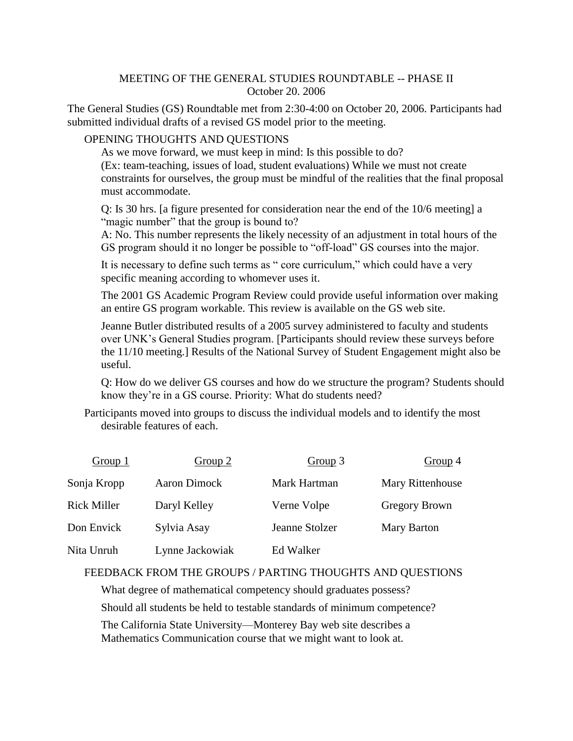## MEETING OF THE GENERAL STUDIES ROUNDTABLE -- PHASE II October 20. 2006

The General Studies (GS) Roundtable met from 2:30-4:00 on October 20, 2006. Participants had submitted individual drafts of a revised GS model prior to the meeting.

## OPENING THOUGHTS AND QUESTIONS

As we move forward, we must keep in mind: Is this possible to do? (Ex: team-teaching, issues of load, student evaluations) While we must not create constraints for ourselves, the group must be mindful of the realities that the final proposal must accommodate.

Q: Is 30 hrs. [a figure presented for consideration near the end of the 10/6 meeting] a "magic number" that the group is bound to?

A: No. This number represents the likely necessity of an adjustment in total hours of the GS program should it no longer be possible to "off-load" GS courses into the major.

It is necessary to define such terms as " core curriculum," which could have a very specific meaning according to whomever uses it.

The 2001 GS Academic Program Review could provide useful information over making an entire GS program workable. This review is available on the GS web site.

Jeanne Butler distributed results of a 2005 survey administered to faculty and students over UNK's General Studies program. [Participants should review these surveys before the 11/10 meeting.] Results of the National Survey of Student Engagement might also be useful.

Q: How do we deliver GS courses and how do we structure the program? Students should know they're in a GS course. Priority: What do students need?

Participants moved into groups to discuss the individual models and to identify the most desirable features of each.

| Group 1            | Group 2         | Group 3        | Group 4          |
|--------------------|-----------------|----------------|------------------|
| Sonja Kropp        | Aaron Dimock    | Mark Hartman   | Mary Rittenhouse |
| <b>Rick Miller</b> | Daryl Kelley    | Verne Volpe    | Gregory Brown    |
| Don Envick         | Sylvia Asay     | Jeanne Stolzer | Mary Barton      |
| Nita Unruh         | Lynne Jackowiak | Ed Walker      |                  |

## FEEDBACK FROM THE GROUPS / PARTING THOUGHTS AND QUESTIONS

What degree of mathematical competency should graduates possess? Should all students be held to testable standards of minimum competence? The California State University—Monterey Bay web site describes a Mathematics Communication course that we might want to look at.